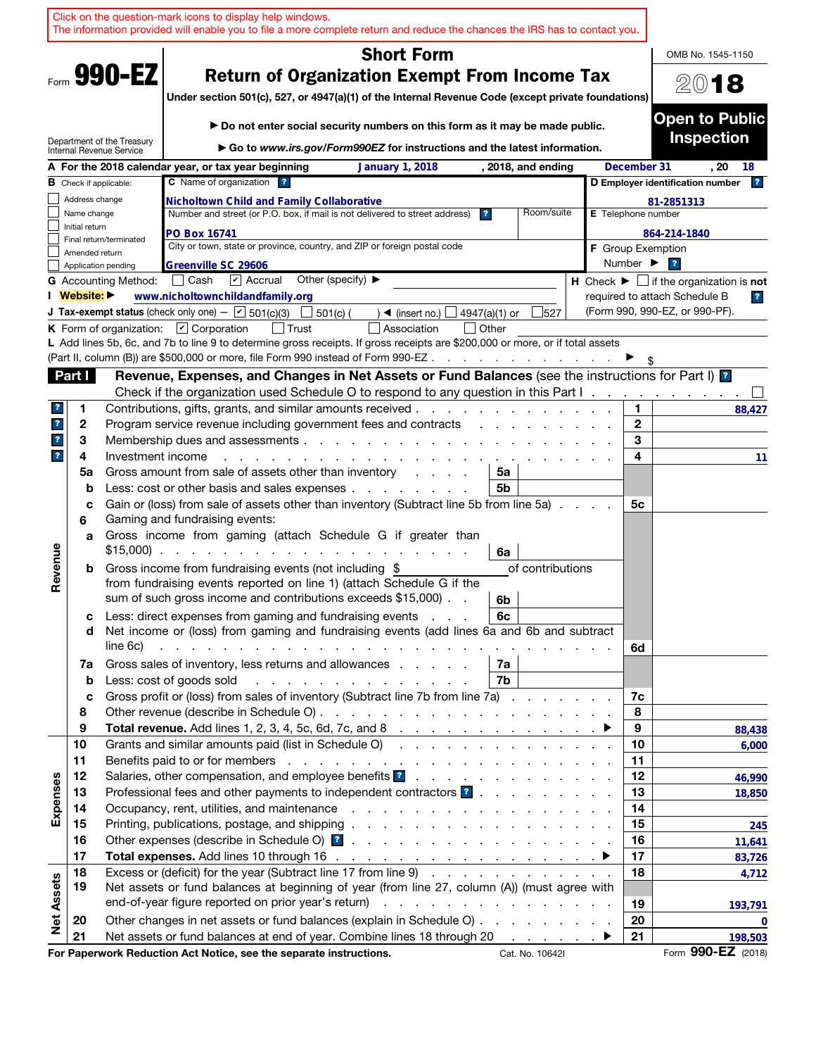|                         |                |                               | Click on the question-mark icons to display help windows.<br>The information provided will enable you to file a more complete return and reduce the chances the IRS has to contact you.                                                                                                                                                                                                       |                  |                              |                                                               |
|-------------------------|----------------|-------------------------------|-----------------------------------------------------------------------------------------------------------------------------------------------------------------------------------------------------------------------------------------------------------------------------------------------------------------------------------------------------------------------------------------------|------------------|------------------------------|---------------------------------------------------------------|
|                         |                |                               | <b>Short Form</b>                                                                                                                                                                                                                                                                                                                                                                             |                  |                              | OMB No. 1545-1150                                             |
|                         |                | Form 990-EZ                   | <b>Return of Organization Exempt From Income Tax</b><br>Under section 501(c), 527, or 4947(a)(1) of the Internal Revenue Code (except private foundations)                                                                                                                                                                                                                                    |                  |                              | 2018                                                          |
|                         |                | Department of the Treasury    | Do not enter social security numbers on this form as it may be made public.                                                                                                                                                                                                                                                                                                                   |                  |                              | <b>Open to Public</b><br><b>Inspection</b>                    |
|                         |                | Internal Revenue Service      | Go to www.irs.gov/Form990EZ for instructions and the latest information.                                                                                                                                                                                                                                                                                                                      |                  |                              |                                                               |
|                         |                | <b>B</b> Check if applicable: | A For the 2018 calendar year, or tax year beginning<br><b>January 1, 2018</b><br>, 2018, and ending<br>C Name of organization ?                                                                                                                                                                                                                                                               |                  | December 31                  | . 20<br>18<br> 2 <br>D Employer identification number         |
|                         | Address change |                               | <b>Nicholtown Child and Family Collaborative</b>                                                                                                                                                                                                                                                                                                                                              |                  |                              | 81-2851313                                                    |
|                         | Name change    |                               | Number and street (or P.O. box, if mail is not delivered to street address)<br>$\overline{\mathbf{r}}$                                                                                                                                                                                                                                                                                        | Room/suite       | E Telephone number           |                                                               |
|                         | Initial return |                               | PO Box 16741                                                                                                                                                                                                                                                                                                                                                                                  |                  |                              | 864-214-1840                                                  |
|                         | Amended return | Final return/terminated       | City or town, state or province, country, and ZIP or foreign postal code                                                                                                                                                                                                                                                                                                                      |                  | <b>F</b> Group Exemption     |                                                               |
|                         |                | Application pending           | Greenville SC 29606                                                                                                                                                                                                                                                                                                                                                                           |                  | Number $\blacktriangleright$ | $\overline{\mathbf{r}}$                                       |
|                         |                | <b>G</b> Accounting Method:   | Other (specify) ▶<br>│ Cash<br>$\triangleright$ Accrual                                                                                                                                                                                                                                                                                                                                       |                  |                              | H Check $\blacktriangleright \Box$ if the organization is not |
|                         | I Website: ▶   |                               | www.nicholtownchildandfamily.org                                                                                                                                                                                                                                                                                                                                                              |                  |                              | required to attach Schedule B<br>$\overline{\mathbf{r}}$      |
|                         |                |                               | <b>J Tax-exempt status</b> (check only one) - $\boxed{\mathbf{v}}$ 501(c)(3)<br>501(c) (<br>4947(a)(1) or<br>$\triangleleft$ (insert no.)                                                                                                                                                                                                                                                     | 527              |                              | (Form 990, 990-EZ, or 990-PF).                                |
|                         |                |                               | K Form of organization: $\Box$ Corporation<br>│ Trust<br>Association<br>  Other<br>L Add lines 5b, 6c, and 7b to line 9 to determine gross receipts. If gross receipts are \$200,000 or more, or if total assets                                                                                                                                                                              |                  |                              |                                                               |
|                         |                |                               | (Part II, column (B)) are \$500,000 or more, file Form 990 instead of Form 990-EZ.<br>and a series of the contract of the                                                                                                                                                                                                                                                                     |                  |                              |                                                               |
|                         | Part I         |                               | Revenue, Expenses, and Changes in Net Assets or Fund Balances (see the instructions for Part I) <b>1</b>                                                                                                                                                                                                                                                                                      |                  |                              |                                                               |
|                         |                |                               | Check if the organization used Schedule O to respond to any question in this Part I.                                                                                                                                                                                                                                                                                                          |                  |                              |                                                               |
| ?                       | 1              |                               | Contributions, gifts, grants, and similar amounts received.                                                                                                                                                                                                                                                                                                                                   |                  | 1.                           | 88,427                                                        |
| $\mathbf{r}$            | 2              |                               | Program service revenue including government fees and contracts                                                                                                                                                                                                                                                                                                                               |                  | $\mathbf{2}$                 |                                                               |
| $\mathbf{?}$            | 3              |                               | Membership dues and assessments                                                                                                                                                                                                                                                                                                                                                               |                  | 3                            |                                                               |
| $\overline{\mathbf{r}}$ | 4              | Investment income             |                                                                                                                                                                                                                                                                                                                                                                                               |                  | 4                            | 11                                                            |
|                         | 5a             |                               | Gross amount from sale of assets other than inventory<br>5a<br>and the control                                                                                                                                                                                                                                                                                                                |                  |                              |                                                               |
|                         | b              |                               | Less: cost or other basis and sales expenses<br>5b                                                                                                                                                                                                                                                                                                                                            |                  |                              |                                                               |
|                         | c<br>6         |                               | Gain or (loss) from sale of assets other than inventory (Subtract line 5b from line 5a)<br>Gaming and fundraising events:                                                                                                                                                                                                                                                                     |                  | 5с                           |                                                               |
|                         | a              |                               | Gross income from gaming (attach Schedule G if greater than<br>$$15,000$<br>6a                                                                                                                                                                                                                                                                                                                |                  |                              |                                                               |
| Revenue                 | b              |                               | Gross income from fundraising events (not including \$<br>from fundraising events reported on line 1) (attach Schedule G if the<br>sum of such gross income and contributions exceeds \$15,000).<br>6b                                                                                                                                                                                        | of contributions |                              |                                                               |
|                         | с<br>d         | line 6c)                      | Less: direct expenses from gaming and fundraising events<br>6c<br>Net income or (loss) from gaming and fundraising events (add lines 6a and 6b and subtract<br>and the contract of the contract of the contract of the contract of the contract of the contract of the contract of the contract of the contract of the contract of the contract of the contract of the contract of the contra |                  |                              |                                                               |
|                         | 7a             |                               | Gross sales of inventory, less returns and allowances<br>7а                                                                                                                                                                                                                                                                                                                                   |                  | 6d                           |                                                               |
|                         | b              |                               | Less: cost of goods sold<br>7b                                                                                                                                                                                                                                                                                                                                                                |                  |                              |                                                               |
|                         | c              |                               | Gross profit or (loss) from sales of inventory (Subtract line 7b from line 7a)                                                                                                                                                                                                                                                                                                                |                  | 7c                           |                                                               |
|                         | 8<br>9         |                               |                                                                                                                                                                                                                                                                                                                                                                                               |                  | 8<br>9                       |                                                               |
|                         | 10             |                               | Grants and similar amounts paid (list in Schedule O)                                                                                                                                                                                                                                                                                                                                          |                  | 10                           | 88,438<br>6,000                                               |
|                         | 11             |                               |                                                                                                                                                                                                                                                                                                                                                                                               |                  | 11                           |                                                               |
|                         | 12             |                               | Salaries, other compensation, and employee benefits ?                                                                                                                                                                                                                                                                                                                                         |                  | 12                           | 46,990                                                        |
|                         | 13             |                               | Professional fees and other payments to independent contractors ?                                                                                                                                                                                                                                                                                                                             |                  | 13                           | 18,850                                                        |
| Expenses                | 14             |                               |                                                                                                                                                                                                                                                                                                                                                                                               |                  | 14                           |                                                               |
|                         | 15             |                               |                                                                                                                                                                                                                                                                                                                                                                                               |                  | 15                           | 245                                                           |
|                         | 16             |                               |                                                                                                                                                                                                                                                                                                                                                                                               |                  | 16                           | 11,641                                                        |
|                         | 17             |                               |                                                                                                                                                                                                                                                                                                                                                                                               |                  | 17                           | 83,726                                                        |
|                         | 18<br>19       |                               | Excess or (deficit) for the year (Subtract line 17 from line 9)<br>Net assets or fund balances at beginning of year (from line 27, column (A)) (must agree with                                                                                                                                                                                                                               |                  | 18                           | 4,712                                                         |
| <b>Net Assets</b>       |                |                               |                                                                                                                                                                                                                                                                                                                                                                                               |                  | 19                           |                                                               |
|                         | 20             |                               | Other changes in net assets or fund balances (explain in Schedule O)                                                                                                                                                                                                                                                                                                                          |                  | 20                           | 193,791<br>0                                                  |
|                         | 21             |                               | Net assets or fund balances at end of year. Combine lines 18 through 20                                                                                                                                                                                                                                                                                                                       |                  | 21                           | 198,503                                                       |
|                         |                |                               | For Paperwork Reduction Act Notice, see the separate instructions.<br>Cat. No. 10642I                                                                                                                                                                                                                                                                                                         |                  |                              | Form 990-EZ (2018)                                            |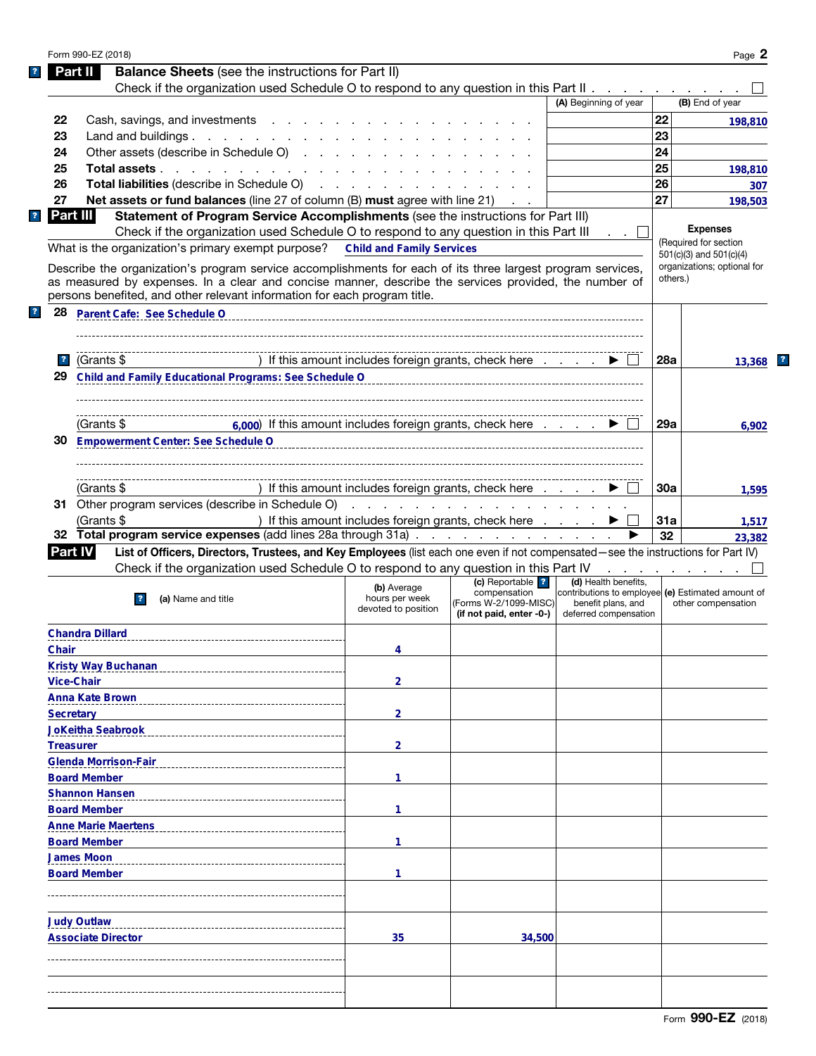|                                                                                                                                                                                                                                                                                                                                                                                                                                            | Form 990-EZ (2018)                                                                                                                                                                                                                                                                                |                                                      |                                                                    |                                                                                                  |          | Page 2                      |
|--------------------------------------------------------------------------------------------------------------------------------------------------------------------------------------------------------------------------------------------------------------------------------------------------------------------------------------------------------------------------------------------------------------------------------------------|---------------------------------------------------------------------------------------------------------------------------------------------------------------------------------------------------------------------------------------------------------------------------------------------------|------------------------------------------------------|--------------------------------------------------------------------|--------------------------------------------------------------------------------------------------|----------|-----------------------------|
| Part II                                                                                                                                                                                                                                                                                                                                                                                                                                    | <b>Balance Sheets</b> (see the instructions for Part II)                                                                                                                                                                                                                                          |                                                      |                                                                    |                                                                                                  |          |                             |
|                                                                                                                                                                                                                                                                                                                                                                                                                                            | Check if the organization used Schedule O to respond to any question in this Part II                                                                                                                                                                                                              |                                                      |                                                                    |                                                                                                  |          |                             |
|                                                                                                                                                                                                                                                                                                                                                                                                                                            |                                                                                                                                                                                                                                                                                                   |                                                      |                                                                    | (A) Beginning of year                                                                            |          | (B) End of year             |
| 22                                                                                                                                                                                                                                                                                                                                                                                                                                         | Cash, savings, and investments                                                                                                                                                                                                                                                                    |                                                      |                                                                    |                                                                                                  | 22       | 198,810                     |
| 23                                                                                                                                                                                                                                                                                                                                                                                                                                         | Land and buildings. $\ldots$ $\ldots$ $\ldots$ $\ldots$ $\ldots$                                                                                                                                                                                                                                  |                                                      |                                                                    |                                                                                                  | 23       |                             |
| 24                                                                                                                                                                                                                                                                                                                                                                                                                                         | Other assets (describe in Schedule O)                                                                                                                                                                                                                                                             |                                                      |                                                                    |                                                                                                  | 24       |                             |
| 25                                                                                                                                                                                                                                                                                                                                                                                                                                         | Total assets                                                                                                                                                                                                                                                                                      |                                                      |                                                                    |                                                                                                  | 25       | 198,810                     |
| 26                                                                                                                                                                                                                                                                                                                                                                                                                                         | <b>Total liabilities</b> (describe in Schedule O)                                                                                                                                                                                                                                                 |                                                      |                                                                    |                                                                                                  | 26       | 307                         |
| 27                                                                                                                                                                                                                                                                                                                                                                                                                                         | Net assets or fund balances (line 27 of column (B) must agree with line 21)                                                                                                                                                                                                                       |                                                      |                                                                    |                                                                                                  | 27       | 198,503                     |
| Part III                                                                                                                                                                                                                                                                                                                                                                                                                                   | Statement of Program Service Accomplishments (see the instructions for Part III)                                                                                                                                                                                                                  |                                                      |                                                                    |                                                                                                  |          |                             |
|                                                                                                                                                                                                                                                                                                                                                                                                                                            | Check if the organization used Schedule O to respond to any question in this Part III                                                                                                                                                                                                             |                                                      |                                                                    |                                                                                                  |          | <b>Expenses</b>             |
|                                                                                                                                                                                                                                                                                                                                                                                                                                            | What is the organization's primary exempt purpose? Child and Family Services                                                                                                                                                                                                                      |                                                      |                                                                    |                                                                                                  |          | (Required for section       |
|                                                                                                                                                                                                                                                                                                                                                                                                                                            |                                                                                                                                                                                                                                                                                                   |                                                      |                                                                    |                                                                                                  |          | 501(c)(3) and 501(c)(4)     |
|                                                                                                                                                                                                                                                                                                                                                                                                                                            | Describe the organization's program service accomplishments for each of its three largest program services,<br>as measured by expenses. In a clear and concise manner, describe the services provided, the number of<br>persons benefited, and other relevant information for each program title. |                                                      |                                                                    |                                                                                                  | others.) | organizations; optional for |
| 28                                                                                                                                                                                                                                                                                                                                                                                                                                         | Parent Cafe: See Schedule O                                                                                                                                                                                                                                                                       |                                                      |                                                                    |                                                                                                  |          |                             |
|                                                                                                                                                                                                                                                                                                                                                                                                                                            |                                                                                                                                                                                                                                                                                                   |                                                      |                                                                    |                                                                                                  |          |                             |
| (Grants $$$<br>$\mathbf{r}$                                                                                                                                                                                                                                                                                                                                                                                                                |                                                                                                                                                                                                                                                                                                   |                                                      | ) If this amount includes foreign grants, check here               |                                                                                                  | 28a      | $13.368$ $\blacksquare$     |
| 29                                                                                                                                                                                                                                                                                                                                                                                                                                         | Child and Family Educational Programs: See Schedule O                                                                                                                                                                                                                                             |                                                      |                                                                    |                                                                                                  |          |                             |
|                                                                                                                                                                                                                                                                                                                                                                                                                                            |                                                                                                                                                                                                                                                                                                   |                                                      |                                                                    |                                                                                                  |          |                             |
|                                                                                                                                                                                                                                                                                                                                                                                                                                            |                                                                                                                                                                                                                                                                                                   |                                                      |                                                                    |                                                                                                  |          |                             |
| (Grants \$                                                                                                                                                                                                                                                                                                                                                                                                                                 | $6,000$ ) If this amount includes foreign grants, check here $\ldots$                                                                                                                                                                                                                             |                                                      |                                                                    |                                                                                                  | 29a      | 6,902                       |
| 30                                                                                                                                                                                                                                                                                                                                                                                                                                         | <b>Empowerment Center: See Schedule O</b>                                                                                                                                                                                                                                                         |                                                      |                                                                    |                                                                                                  |          |                             |
|                                                                                                                                                                                                                                                                                                                                                                                                                                            |                                                                                                                                                                                                                                                                                                   |                                                      |                                                                    |                                                                                                  |          |                             |
|                                                                                                                                                                                                                                                                                                                                                                                                                                            |                                                                                                                                                                                                                                                                                                   |                                                      |                                                                    |                                                                                                  |          |                             |
| (Grants \$                                                                                                                                                                                                                                                                                                                                                                                                                                 |                                                                                                                                                                                                                                                                                                   |                                                      | ) If this amount includes foreign grants, check here               |                                                                                                  | 30a      | 1,595                       |
|                                                                                                                                                                                                                                                                                                                                                                                                                                            | 31 Other program services (describe in Schedule O)                                                                                                                                                                                                                                                |                                                      |                                                                    |                                                                                                  |          |                             |
| (Grants \$                                                                                                                                                                                                                                                                                                                                                                                                                                 |                                                                                                                                                                                                                                                                                                   |                                                      | ) If this amount includes foreign grants, check here               |                                                                                                  | 31a      | 1,517                       |
|                                                                                                                                                                                                                                                                                                                                                                                                                                            | 32 Total program service expenses (add lines 28a through 31a)                                                                                                                                                                                                                                     |                                                      |                                                                    |                                                                                                  | 32       | 23,382                      |
| <b>Part IV</b>                                                                                                                                                                                                                                                                                                                                                                                                                             |                                                                                                                                                                                                                                                                                                   |                                                      |                                                                    |                                                                                                  |          |                             |
|                                                                                                                                                                                                                                                                                                                                                                                                                                            |                                                                                                                                                                                                                                                                                                   |                                                      |                                                                    |                                                                                                  |          |                             |
|                                                                                                                                                                                                                                                                                                                                                                                                                                            | List of Officers, Directors, Trustees, and Key Employees (list each one even if not compensated—see the instructions for Part IV)                                                                                                                                                                 |                                                      |                                                                    | and a state of the state of the                                                                  |          |                             |
|                                                                                                                                                                                                                                                                                                                                                                                                                                            | Check if the organization used Schedule O to respond to any question in this Part IV                                                                                                                                                                                                              |                                                      | (c) Reportable   ?                                                 | (d) Health benefits,                                                                             |          |                             |
|                                                                                                                                                                                                                                                                                                                                                                                                                                            | (a) Name and title<br>$\overline{ }$ ?                                                                                                                                                                                                                                                            | (b) Average<br>hours per week<br>devoted to position | compensation<br>(Forms W-2/1099-MISC) <br>(if not paid, enter -0-) | contributions to employee (e) Estimated amount of<br>benefit plans, and<br>deferred compensation |          | other compensation          |
|                                                                                                                                                                                                                                                                                                                                                                                                                                            |                                                                                                                                                                                                                                                                                                   |                                                      |                                                                    |                                                                                                  |          |                             |
|                                                                                                                                                                                                                                                                                                                                                                                                                                            |                                                                                                                                                                                                                                                                                                   | 4                                                    |                                                                    |                                                                                                  |          |                             |
|                                                                                                                                                                                                                                                                                                                                                                                                                                            |                                                                                                                                                                                                                                                                                                   |                                                      |                                                                    |                                                                                                  |          |                             |
|                                                                                                                                                                                                                                                                                                                                                                                                                                            |                                                                                                                                                                                                                                                                                                   | $\overline{2}$                                       |                                                                    |                                                                                                  |          |                             |
|                                                                                                                                                                                                                                                                                                                                                                                                                                            |                                                                                                                                                                                                                                                                                                   |                                                      |                                                                    |                                                                                                  |          |                             |
|                                                                                                                                                                                                                                                                                                                                                                                                                                            |                                                                                                                                                                                                                                                                                                   |                                                      |                                                                    |                                                                                                  |          |                             |
|                                                                                                                                                                                                                                                                                                                                                                                                                                            |                                                                                                                                                                                                                                                                                                   | $\overline{2}$                                       |                                                                    |                                                                                                  |          |                             |
|                                                                                                                                                                                                                                                                                                                                                                                                                                            |                                                                                                                                                                                                                                                                                                   |                                                      |                                                                    |                                                                                                  |          |                             |
|                                                                                                                                                                                                                                                                                                                                                                                                                                            |                                                                                                                                                                                                                                                                                                   | $\overline{2}$                                       |                                                                    |                                                                                                  |          |                             |
|                                                                                                                                                                                                                                                                                                                                                                                                                                            |                                                                                                                                                                                                                                                                                                   |                                                      |                                                                    |                                                                                                  |          |                             |
|                                                                                                                                                                                                                                                                                                                                                                                                                                            |                                                                                                                                                                                                                                                                                                   | $\mathbf{1}$                                         |                                                                    |                                                                                                  |          |                             |
|                                                                                                                                                                                                                                                                                                                                                                                                                                            |                                                                                                                                                                                                                                                                                                   |                                                      |                                                                    |                                                                                                  |          |                             |
|                                                                                                                                                                                                                                                                                                                                                                                                                                            |                                                                                                                                                                                                                                                                                                   | $\mathbf{1}$                                         |                                                                    |                                                                                                  |          |                             |
|                                                                                                                                                                                                                                                                                                                                                                                                                                            |                                                                                                                                                                                                                                                                                                   |                                                      |                                                                    |                                                                                                  |          |                             |
|                                                                                                                                                                                                                                                                                                                                                                                                                                            |                                                                                                                                                                                                                                                                                                   | 1                                                    |                                                                    |                                                                                                  |          |                             |
|                                                                                                                                                                                                                                                                                                                                                                                                                                            |                                                                                                                                                                                                                                                                                                   |                                                      |                                                                    |                                                                                                  |          |                             |
|                                                                                                                                                                                                                                                                                                                                                                                                                                            |                                                                                                                                                                                                                                                                                                   | 1                                                    |                                                                    |                                                                                                  |          |                             |
|                                                                                                                                                                                                                                                                                                                                                                                                                                            |                                                                                                                                                                                                                                                                                                   |                                                      |                                                                    |                                                                                                  |          |                             |
|                                                                                                                                                                                                                                                                                                                                                                                                                                            |                                                                                                                                                                                                                                                                                                   |                                                      |                                                                    |                                                                                                  |          |                             |
|                                                                                                                                                                                                                                                                                                                                                                                                                                            |                                                                                                                                                                                                                                                                                                   |                                                      |                                                                    |                                                                                                  |          |                             |
|                                                                                                                                                                                                                                                                                                                                                                                                                                            |                                                                                                                                                                                                                                                                                                   | 35                                                   | 34,500                                                             |                                                                                                  |          |                             |
|                                                                                                                                                                                                                                                                                                                                                                                                                                            |                                                                                                                                                                                                                                                                                                   |                                                      |                                                                    |                                                                                                  |          |                             |
|                                                                                                                                                                                                                                                                                                                                                                                                                                            |                                                                                                                                                                                                                                                                                                   |                                                      |                                                                    |                                                                                                  |          |                             |
|                                                                                                                                                                                                                                                                                                                                                                                                                                            |                                                                                                                                                                                                                                                                                                   |                                                      |                                                                    |                                                                                                  |          |                             |
| <b>Chandra Dillard</b><br>Chair<br><b>Kristy Way Buchanan</b><br><b>Vice-Chair</b><br><b>Anna Kate Brown</b><br><b>Secretary</b><br><b>JoKeitha Seabrook</b><br><b>Treasurer</b><br><b>Glenda Morrison-Fair</b><br><b>Board Member</b><br><b>Shannon Hansen</b><br><b>Board Member</b><br><b>Anne Marie Maertens</b><br><b>Board Member</b><br><b>James Moon</b><br><b>Board Member</b><br><b>Judy Outlaw</b><br><b>Associate Director</b> |                                                                                                                                                                                                                                                                                                   |                                                      |                                                                    |                                                                                                  |          |                             |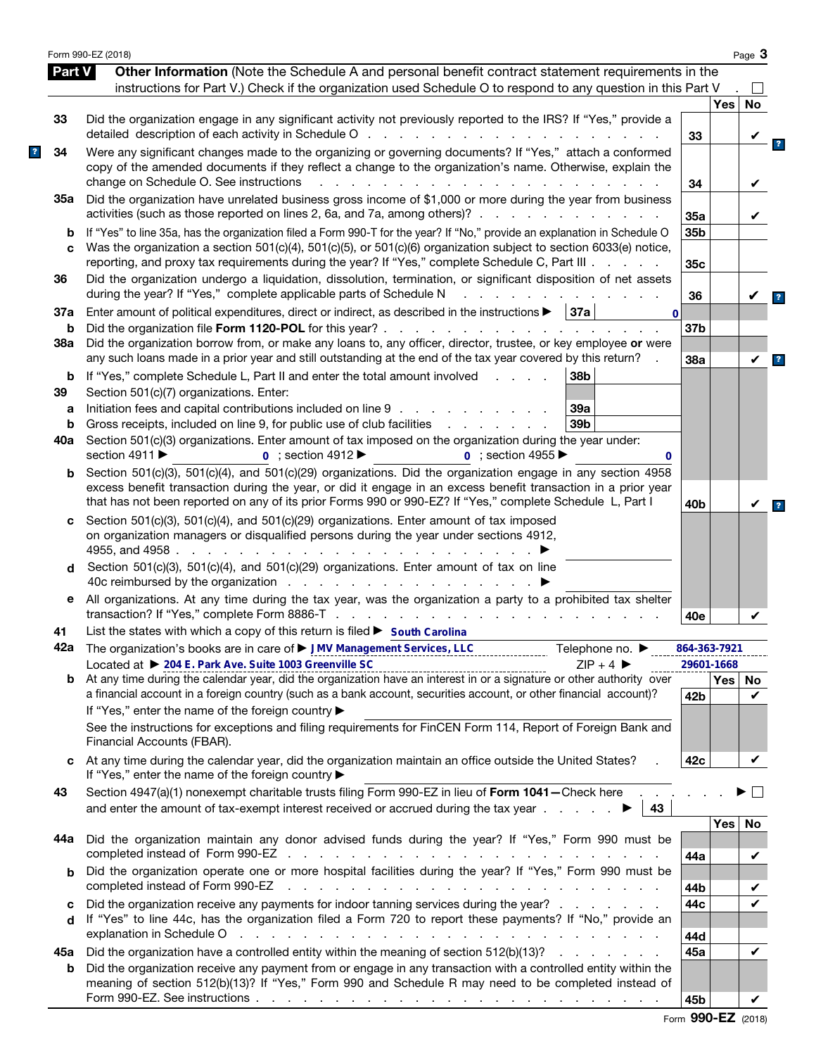|               | Form 990-EZ (2018)                                                                                                                                                                                                                                                                                                                                                                                               |                               |                  | Page 3  |                         |
|---------------|------------------------------------------------------------------------------------------------------------------------------------------------------------------------------------------------------------------------------------------------------------------------------------------------------------------------------------------------------------------------------------------------------------------|-------------------------------|------------------|---------|-------------------------|
| <b>Part V</b> | Other Information (Note the Schedule A and personal benefit contract statement requirements in the                                                                                                                                                                                                                                                                                                               |                               |                  |         |                         |
|               | instructions for Part V.) Check if the organization used Schedule O to respond to any question in this Part V                                                                                                                                                                                                                                                                                                    |                               |                  |         |                         |
| 33            | Did the organization engage in any significant activity not previously reported to the IRS? If "Yes," provide a                                                                                                                                                                                                                                                                                                  | 33                            | <b>Yes</b>       | No      |                         |
| 34            | Were any significant changes made to the organizing or governing documents? If "Yes," attach a conformed<br>copy of the amended documents if they reflect a change to the organization's name. Otherwise, explain the<br>change on Schedule O. See instructions<br>and a straight and                                                                                                                            | 34                            |                  |         |                         |
| 35а           | Did the organization have unrelated business gross income of \$1,000 or more during the year from business<br>activities (such as those reported on lines 2, 6a, and 7a, among others)?                                                                                                                                                                                                                          | 35a                           |                  |         |                         |
| b<br>C        | If "Yes" to line 35a, has the organization filed a Form 990-T for the year? If "No," provide an explanation in Schedule O<br>Was the organization a section 501(c)(4), 501(c)(5), or 501(c)(6) organization subject to section 6033(e) notice,<br>reporting, and proxy tax requirements during the year? If "Yes," complete Schedule C, Part III                                                                 | 35b<br>35c                    |                  |         |                         |
| 36            | Did the organization undergo a liquidation, dissolution, termination, or significant disposition of net assets<br>during the year? If "Yes," complete applicable parts of Schedule N                                                                                                                                                                                                                             | 36                            |                  |         | $\overline{\mathbf{r}}$ |
| 37a<br>b      | Enter amount of political expenditures, direct or indirect, as described in the instructions $\blacktriangleright$   37a  <br>$\mathbf{0}$                                                                                                                                                                                                                                                                       | 37b                           |                  |         |                         |
| 38a           | Did the organization borrow from, or make any loans to, any officer, director, trustee, or key employee or were<br>any such loans made in a prior year and still outstanding at the end of the tax year covered by this return?                                                                                                                                                                                  | 38a                           |                  | V       | $\overline{\mathbf{?}}$ |
| b<br>39       | If "Yes," complete Schedule L, Part II and enter the total amount involved<br>38b<br>and the state of<br>Section 501(c)(7) organizations. Enter:                                                                                                                                                                                                                                                                 |                               |                  |         |                         |
| а<br>b<br>40a | Initiation fees and capital contributions included on line 9<br>39a<br>Gross receipts, included on line 9, for public use of club facilities<br>39 <sub>b</sub><br>and the contract of the con-<br>Section 501(c)(3) organizations. Enter amount of tax imposed on the organization during the year under:                                                                                                       |                               |                  |         |                         |
| b             | section 4911 ▶<br>$0$ ; section 4912<br>$\overline{0}$ : section 4955<br>0<br>Section 501(c)(3), 501(c)(4), and 501(c)(29) organizations. Did the organization engage in any section 4958                                                                                                                                                                                                                        |                               |                  |         |                         |
|               | excess benefit transaction during the year, or did it engage in an excess benefit transaction in a prior year<br>that has not been reported on any of its prior Forms 990 or 990-EZ? If "Yes," complete Schedule L, Part I                                                                                                                                                                                       | 40 <sub>b</sub>               |                  |         |                         |
| c             | Section 501(c)(3), 501(c)(4), and 501(c)(29) organizations. Enter amount of tax imposed<br>on organization managers or disqualified persons during the year under sections 4912,<br>4955, and 4958.<br>and a state of the state of the                                                                                                                                                                           |                               |                  |         |                         |
| d             | Section 501(c)(3), 501(c)(4), and 501(c)(29) organizations. Enter amount of tax on line<br>40c reimbursed by the organization                                                                                                                                                                                                                                                                                    |                               |                  |         |                         |
| е             | All organizations. At any time during the tax year, was the organization a party to a prohibited tax shelter                                                                                                                                                                                                                                                                                                     | 40e                           |                  |         |                         |
| 41            | List the states with which a copy of this return is filed ► South Carolina                                                                                                                                                                                                                                                                                                                                       |                               |                  |         |                         |
|               | 42a The organization's books are in care of ► JMV Management Services, LLC<br>Telephone no. $\blacktriangleright$                                                                                                                                                                                                                                                                                                | 864-363-7921                  |                  |         |                         |
| b             | Located at ▶ 204 E. Park Ave. Suite 1003 Greenville SC<br>$ZIP + 4$<br>-------------------------------------<br>At any time during the calendar year, did the organization have an interest in or a signature or other authority over<br>a financial account in a foreign country (such as a bank account, securities account, or other financial account)?<br>If "Yes," enter the name of the foreign country ▶ | 29601-1668<br>42 <sub>b</sub> | Yes <sub>1</sub> | No<br>✓ |                         |
|               | See the instructions for exceptions and filing requirements for FinCEN Form 114, Report of Foreign Bank and<br>Financial Accounts (FBAR).                                                                                                                                                                                                                                                                        |                               |                  |         |                         |
| C             | At any time during the calendar year, did the organization maintain an office outside the United States?<br>If "Yes," enter the name of the foreign country ▶                                                                                                                                                                                                                                                    | 42c                           |                  | V       |                         |
| 43            | Section 4947(a)(1) nonexempt charitable trusts filing Form 990-EZ in lieu of Form 1041 - Check here<br>and enter the amount of tax-exempt interest received or accrued during the tax year $\ldots$<br>43                                                                                                                                                                                                        |                               |                  |         |                         |
| 44а           | Did the organization maintain any donor advised funds during the year? If "Yes," Form 990 must be                                                                                                                                                                                                                                                                                                                | 44a                           | Yes              | No<br>V |                         |
| b             | Did the organization operate one or more hospital facilities during the year? If "Yes," Form 990 must be<br>completed instead of Form 990-EZ<br>the contract of the contract of the contract of the contract of the contract of the contract of the contract of                                                                                                                                                  | 44b                           |                  |         |                         |
| c<br>d        | Did the organization receive any payments for indoor tanning services during the year?<br>If "Yes" to line 44c, has the organization filed a Form 720 to report these payments? If "No," provide an                                                                                                                                                                                                              | 44c                           |                  |         |                         |
| 45а           | explanation in Schedule O response to the contract of the contract of the contract of the contract of the contract of the contract of the contract of the contract of the contract of the contract of the contract of the cont<br>Did the organization have a controlled entity within the meaning of section 512(b)(13)?                                                                                        | 44d<br>45a                    |                  | V       |                         |
| b             | Did the organization receive any payment from or engage in any transaction with a controlled entity within the<br>meaning of section 512(b)(13)? If "Yes," Form 990 and Schedule R may need to be completed instead of                                                                                                                                                                                           |                               |                  |         |                         |
|               |                                                                                                                                                                                                                                                                                                                                                                                                                  | 45b                           |                  | V       |                         |

|  | Form 990-EZ (2018) |  |
|--|--------------------|--|
|--|--------------------|--|